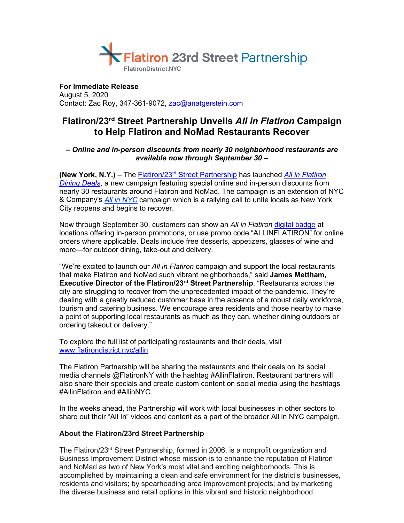

**For Immediate Release** August 5, 2020 Contact: Zac Roy, 347-361-9072, [zac@anatgerstein.com](mailto:zac@anatgerstein.com)

## **Flatiron/23rd Street Partnership Unveils** *All in Flatiron* **Campaign to Help Flatiron and NoMad Restaurants Recover**

## *– Online and in-person discounts from nearly 30 neighborhood restaurants are available now through September 30 –*

**(New York, N.Y.)** – The Flatiron/23rd [Street Partnership](https://www.flatirondistrict.nyc/) has launched *[All in Flatiron](https://www.flatirondistrict.nyc/allin)  [Dining Deals](https://www.flatirondistrict.nyc/allin)*, a new campaign featuring special online and in-person discounts from nearly 30 restaurants around Flatiron and NoMad. The campaign is an extension of NYC & Company's *[All in NYC](https://www.nycgo.com/)* campaign which is a rallying call to unite locals as New York City reopens and begins to recover.

Now through September 30, customers can show an *All in Flatiron* [digital badge](https://www.flatirondistrict.nyc/uploads/lego/5f237e793eef7/5f237e793eef7_img.jpg) at locations offering in-person promotions, or use promo code "ALLINFLATIRON" for online orders where applicable. Deals include free desserts, appetizers, glasses of wine and more—for outdoor dining, take-out and delivery.

"We're excited to launch our *All in Flatiron* campaign and support the local restaurants that make Flatiron and NoMad such vibrant neighborhoods," said **James Mettham, Executive Director of the Flatiron/23rd Street Partnership**. "Restaurants across the city are struggling to recover from the unprecedented impact of the pandemic. They're dealing with a greatly reduced customer base in the absence of a robust daily workforce, tourism and catering business. We encourage area residents and those nearby to make a point of supporting local restaurants as much as they can, whether dining outdoors or ordering takeout or delivery."

To explore the full list of participating restaurants and their deals, visit [www.flatirondistrict.nyc/allin.](https://www.flatirondistrict.nyc/allin)

The Flatiron Partnership will be sharing the restaurants and their deals on its social media channels @FlatironNY with the hashtag #AllinFlatiron. Restaurant partners will also share their specials and create custom content on social media using the hashtags #AllinFlatiron and #AllinNYC.

In the weeks ahead, the Partnership will work with local businesses in other sectors to share out their "All In" videos and content as a part of the broader All in NYC campaign.

## **About the Flatiron/23rd Street Partnership**

The Flatiron/23<sup>rd</sup> Street Partnership, formed in 2006, is a nonprofit organization and Business Improvement District whose mission is to enhance the reputation of Flatiron and NoMad as two of New York's most vital and exciting neighborhoods. This is accomplished by maintaining a clean and safe environment for the district's businesses, residents and visitors; by spearheading area improvement projects; and by marketing the diverse business and retail options in this vibrant and historic neighborhood.